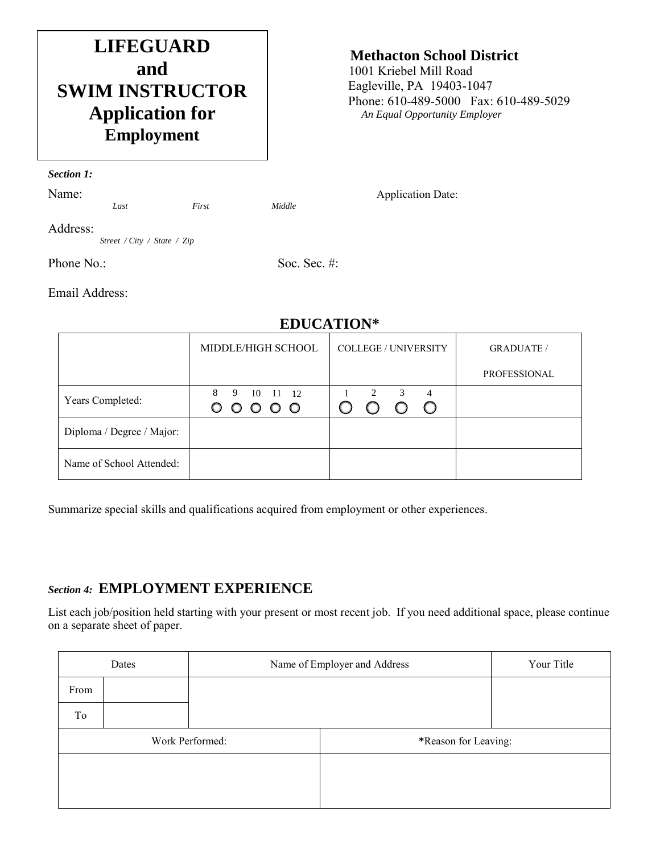# **LIFEGUARD and SWIM INSTRUCTOR Application for Employment**

### **Methacton School District**

 1001 Kriebel Mill Road Eagleville, PA 19403-1047 Phone: 610-489-5000 Fax: 610-489-5029 *An Equal Opportunity Employer*

*Section 1:*

Name: *Last First Middle Application Date:* 

Address:

*Street / City / State / Zip*

Phone No.: Soc. Sec. #:

Email Address:

#### **EDUCATION\***

|                           | MIDDLE/HIGH SCHOOL    | <b>COLLEGE / UNIVERSITY</b>                                                | <b>GRADUATE</b> /   |
|---------------------------|-----------------------|----------------------------------------------------------------------------|---------------------|
|                           |                       |                                                                            | <b>PROFESSIONAL</b> |
| Years Completed:          | 8 9 10 11 12<br>00000 | $1 \qquad 2$<br>$\overline{\phantom{a}3}$<br>4<br>$\bigcirc$<br>$\bigcirc$ |                     |
| Diploma / Degree / Major: |                       |                                                                            |                     |
| Name of School Attended:  |                       |                                                                            |                     |

Summarize special skills and qualifications acquired from employment or other experiences.

## *Section 4:* **EMPLOYMENT EXPERIENCE**

List each job/position held starting with your present or most recent job. If you need additional space, please continue on a separate sheet of paper.

|      | Dates                                   | Name of Employer and Address | Your Title |  |
|------|-----------------------------------------|------------------------------|------------|--|
| From |                                         |                              |            |  |
| To   |                                         |                              |            |  |
|      | Work Performed:<br>*Reason for Leaving: |                              |            |  |
|      |                                         |                              |            |  |
|      |                                         |                              |            |  |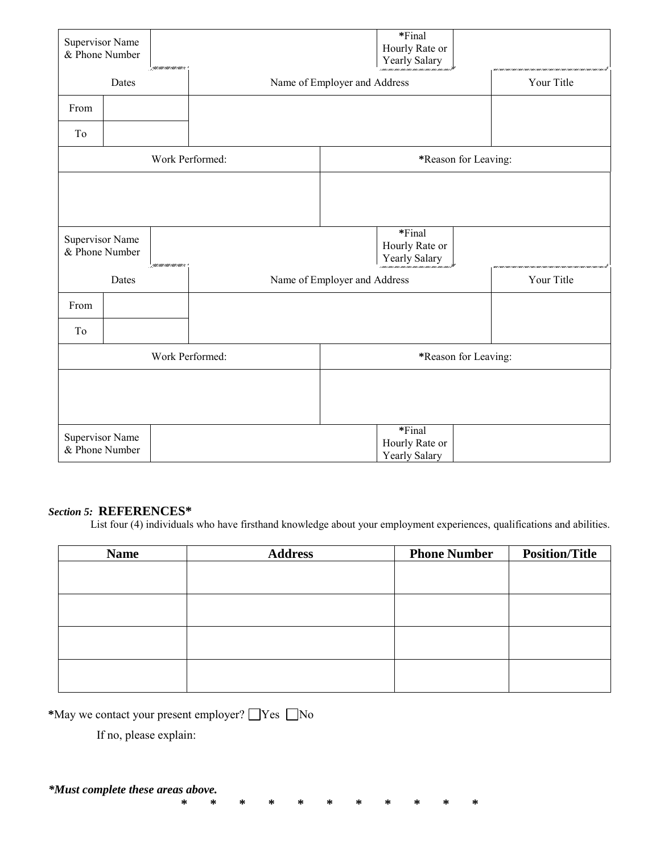|                                                               | <b>Supervisor Name</b><br>& Phone Number | partamental company          | *Final<br>Hourly Rate or<br>Yearly Salary |  |                                           |  |  |
|---------------------------------------------------------------|------------------------------------------|------------------------------|-------------------------------------------|--|-------------------------------------------|--|--|
| Dates                                                         |                                          | Name of Employer and Address |                                           |  | Your Title                                |  |  |
| From                                                          |                                          |                              |                                           |  |                                           |  |  |
| To                                                            |                                          |                              |                                           |  |                                           |  |  |
| Work Performed:                                               |                                          | *Reason for Leaving:         |                                           |  |                                           |  |  |
|                                                               |                                          |                              |                                           |  |                                           |  |  |
| Supervisor Name<br>& Phone Number<br>partam taun taun taun te |                                          |                              | *Final<br>Hourly Rate or<br>Yearly Salary |  |                                           |  |  |
| Dates                                                         |                                          |                              | Name of Employer and Address              |  | Your Title                                |  |  |
| From                                                          |                                          |                              |                                           |  |                                           |  |  |
| To                                                            |                                          |                              |                                           |  |                                           |  |  |
| Work Performed:                                               |                                          | *Reason for Leaving:         |                                           |  |                                           |  |  |
|                                                               |                                          |                              |                                           |  |                                           |  |  |
| <b>Supervisor Name</b>                                        | & Phone Number                           |                              |                                           |  | *Final<br>Hourly Rate or<br>Yearly Salary |  |  |

*Section 5:* **REFERENCES\*** List four (4) individuals who have firsthand knowledge about your employment experiences, qualifications and abilities.

| <b>Name</b> | <b>Address</b> | <b>Phone Number</b> | <b>Position/Title</b> |
|-------------|----------------|---------------------|-----------------------|
|             |                |                     |                       |
|             |                |                     |                       |
|             |                |                     |                       |
|             |                |                     |                       |
|             |                |                     |                       |
|             |                |                     |                       |
|             |                |                     |                       |
|             |                |                     |                       |

**\* \* \* \* \* \* \* \* \* \* \***

\*May we contact your present employer?  $\Box$  Yes  $\Box$  No

If no, please explain: